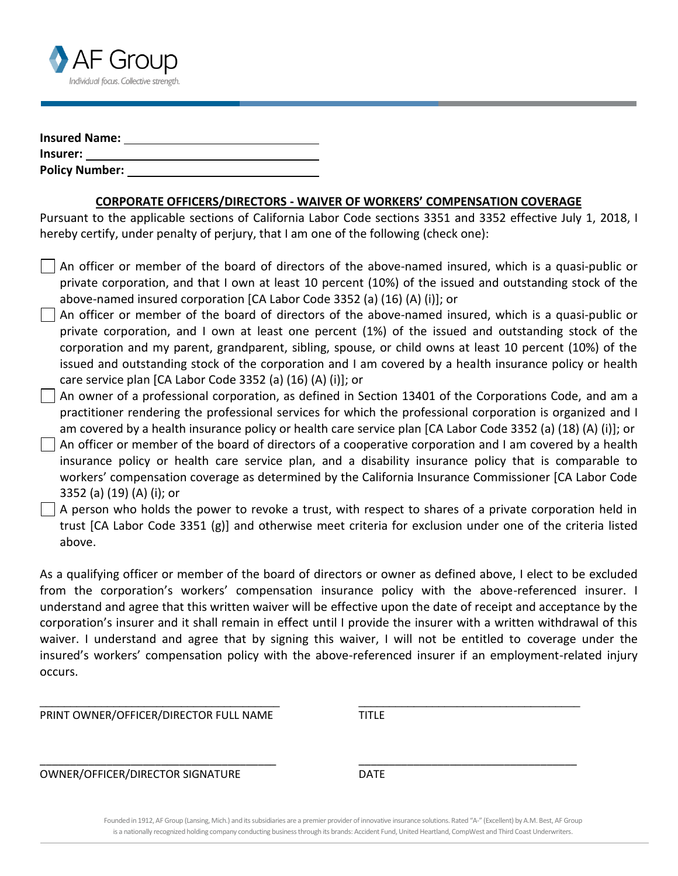

| <b>Insured Name:</b>  |  |
|-----------------------|--|
| Insurer:              |  |
| <b>Policy Number:</b> |  |

## **CORPORATE OFFICERS/DIRECTORS - WAIVER OF WORKERS' COMPENSATION COVERAGE**

Pursuant to the applicable sections of California Labor Code sections 3351 and 3352 effective July 1, 2018, I hereby certify, under penalty of perjury, that I am one of the following (check one):

- An officer or member of the board of directors of the above-named insured, which is a quasi-public or private corporation, and that I own at least 10 percent (10%) of the issued and outstanding stock of the above-named insured corporation [CA Labor Code 3352 (a) (16) (A) (i)]; or
- An officer or member of the board of directors of the above-named insured, which is a quasi-public or private corporation, and I own at least one percent (1%) of the issued and outstanding stock of the corporation and my parent, grandparent, sibling, spouse, or child owns at least 10 percent (10%) of the issued and outstanding stock of the corporation and I am covered by a health insurance policy or health care service plan [CA Labor Code 3352 (a) (16) (A) (i)]; or
- An owner of a professional corporation, as defined in Section 13401 of the Corporations Code, and am a practitioner rendering the professional services for which the professional corporation is organized and I am covered by a health insurance policy or health care service plan [CA Labor Code 3352 (a) (18) (A) (i)]; or
- An officer or member of the board of directors of a cooperative corporation and I am covered by a health insurance policy or health care service plan, and a disability insurance policy that is comparable to workers' compensation coverage as determined by the California Insurance Commissioner [CA Labor Code 3352 (a) (19) (A) (i); or
- A person who holds the power to revoke a trust, with respect to shares of a private corporation held in trust [CA Labor Code 3351 (g)] and otherwise meet criteria for exclusion under one of the criteria listed above.

As a qualifying officer or member of the board of directors or owner as defined above, I elect to be excluded from the corporation's workers' compensation insurance policy with the above-referenced insurer. I understand and agree that this written waiver will be effective upon the date of receipt and acceptance by the corporation's insurer and it shall remain in effect until I provide the insurer with a written withdrawal of this waiver. I understand and agree that by signing this waiver, I will not be entitled to coverage under the insured's workers' compensation policy with the above-referenced insurer if an employment-related injury occurs.

\_\_\_\_\_\_\_\_\_\_\_\_\_\_\_\_\_\_\_\_\_\_\_\_\_\_\_\_\_\_\_\_\_\_\_\_\_\_\_ \_\_\_\_\_\_\_\_\_\_\_\_\_\_\_\_\_\_\_\_\_\_\_\_\_\_\_\_\_\_\_\_\_\_\_\_

\_\_\_\_\_\_\_\_\_\_\_\_\_\_\_\_\_\_\_\_\_\_\_\_\_\_\_\_\_\_\_\_\_\_\_\_\_\_\_ \_\_\_\_\_\_\_\_\_\_\_\_\_\_\_\_\_\_\_\_\_\_\_\_\_\_\_\_\_\_\_\_\_\_\_\_

PRINT OWNER/OFFICER/DIRECTOR FULL NAME TITLE

OWNER/OFFICER/DIRECTOR SIGNATURE DATE

Founded in 1912, AF Group (Lansing, Mich.) and its subsidiaries are a premier provider of innovative insurance solutions. Rated "A-" (Excellent) by A.M. Best, AF Group is a nationally recognized holding company conducting business through its brands: Accident Fund, United Heartland, CompWest and Third Coast Underwriters.